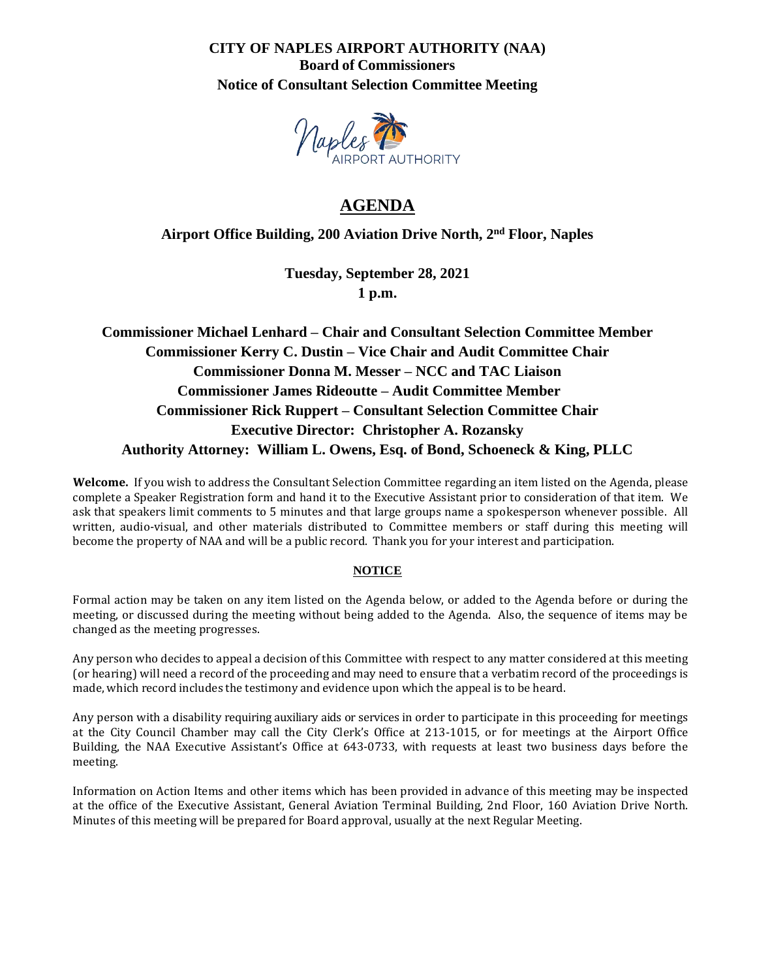### **CITY OF NAPLES AIRPORT AUTHORITY (NAA) Board of Commissioners Notice of Consultant Selection Committee Meeting**



# **AGENDA**

### **Airport Office Building, 200 Aviation Drive North, 2 nd Floor, Naples**

**Tuesday, September 28, 2021 1 p.m.**

# **Commissioner Michael Lenhard – Chair and Consultant Selection Committee Member Commissioner Kerry C. Dustin – Vice Chair and Audit Committee Chair Commissioner Donna M. Messer – NCC and TAC Liaison Commissioner James Rideoutte – Audit Committee Member Commissioner Rick Ruppert – Consultant Selection Committee Chair Executive Director: Christopher A. Rozansky Authority Attorney: William L. Owens, Esq. of Bond, Schoeneck & King, PLLC**

**Welcome.** If you wish to address the Consultant Selection Committee regarding an item listed on the Agenda, please complete a Speaker Registration form and hand it to the Executive Assistant prior to consideration of that item. We ask that speakers limit comments to 5 minutes and that large groups name a spokesperson whenever possible. All written, audio-visual, and other materials distributed to Committee members or staff during this meeting will become the property of NAA and will be a public record. Thank you for your interest and participation.

#### **NOTICE**

Formal action may be taken on any item listed on the Agenda below, or added to the Agenda before or during the meeting, or discussed during the meeting without being added to the Agenda. Also, the sequence of items may be changed as the meeting progresses.

Any person who decides to appeal a decision of this Committee with respect to any matter considered at this meeting (or hearing) will need a record of the proceeding and may need to ensure that a verbatim record of the proceedings is made, which record includes the testimony and evidence upon which the appeal is to be heard.

Any person with a disability requiring auxiliary aids or services in order to participate in this proceeding for meetings at the City Council Chamber may call the City Clerk's Office at 213-1015, or for meetings at the Airport Office Building, the NAA Executive Assistant's Office at 643-0733, with requests at least two business days before the meeting.

Information on Action Items and other items which has been provided in advance of this meeting may be inspected at the office of the Executive Assistant, General Aviation Terminal Building, 2nd Floor, 160 Aviation Drive North. Minutes of this meeting will be prepared for Board approval, usually at the next Regular Meeting.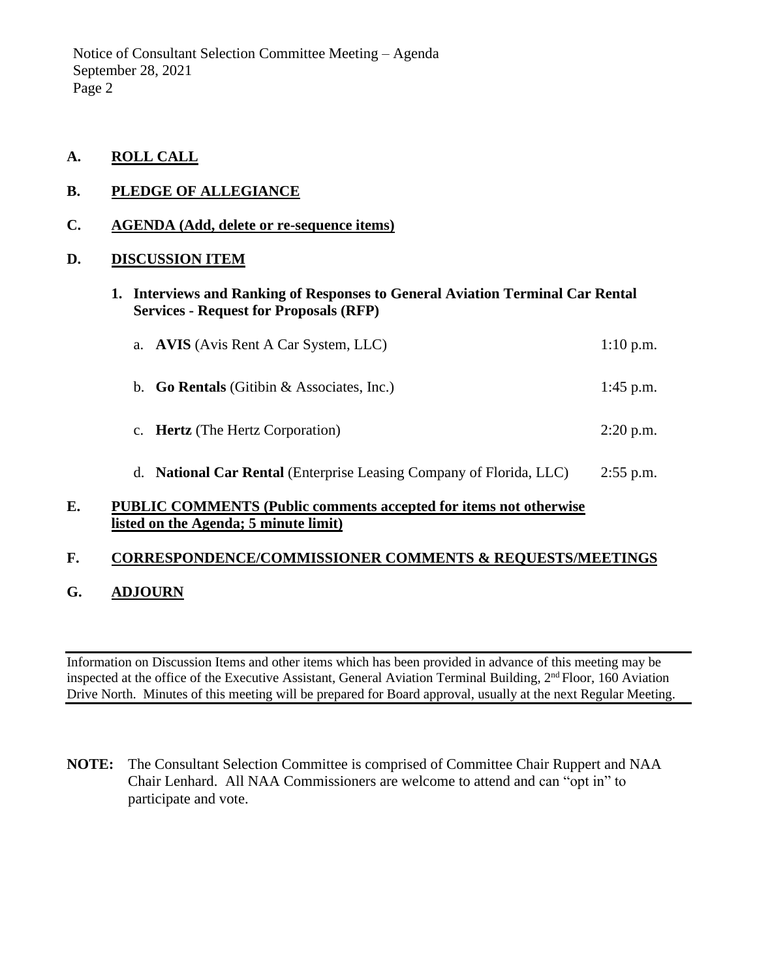Notice of Consultant Selection Committee Meeting – Agenda September 28, 2021 Page 2

**A. ROLL CALL**

### **B. PLEDGE OF ALLEGIANCE**

### **C. AGENDA (Add, delete or re-sequence items)**

### **D. DISCUSSION ITEM**

**1. Interviews and Ranking of Responses to General Aviation Terminal Car Rental Services - Request for Proposals (RFP)**

| a. AVIS (Avis Rent A Car System, LLC)                                      | $1:10$ p.m. |
|----------------------------------------------------------------------------|-------------|
| b. Go Rentals (Gitibin & Associates, Inc.)                                 | 1:45 p.m.   |
| c. Hertz (The Hertz Corporation)                                           | $2:20$ p.m. |
| d. <b>National Car Rental</b> (Enterprise Leasing Company of Florida, LLC) | $2:55$ p.m. |

### **E. PUBLIC COMMENTS (Public comments accepted for items not otherwise listed on the Agenda; 5 minute limit)**

### **F. CORRESPONDENCE/COMMISSIONER COMMENTS & REQUESTS/MEETINGS**

### **G. ADJOURN**

Information on Discussion Items and other items which has been provided in advance of this meeting may be inspected at the office of the Executive Assistant, General Aviation Terminal Building,  $2<sup>nd</sup>$  Floor, 160 Aviation Drive North. Minutes of this meeting will be prepared for Board approval, usually at the next Regular Meeting.

**NOTE:** The Consultant Selection Committee is comprised of Committee Chair Ruppert and NAA Chair Lenhard. All NAA Commissioners are welcome to attend and can "opt in" to participate and vote.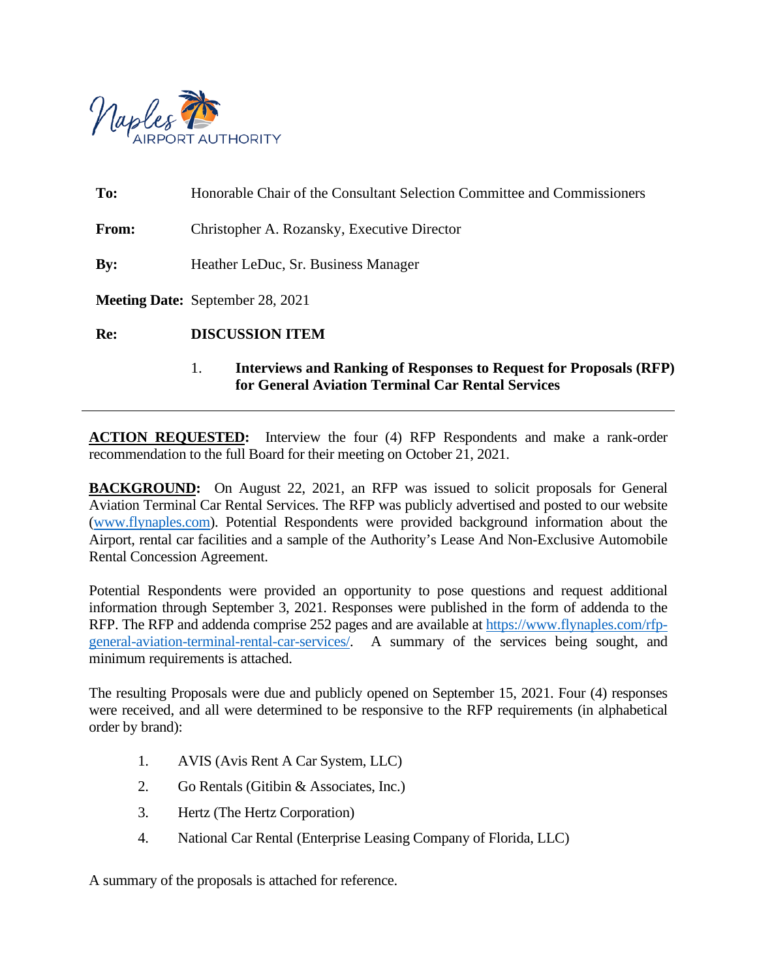

| Re:            | <b>DISCUSSION ITEM</b><br><b>Interviews and Ranking of Responses to Request for Proposals (RFP)</b><br>1. |  |  |
|----------------|-----------------------------------------------------------------------------------------------------------|--|--|
|                | <b>Meeting Date:</b> September 28, 2021                                                                   |  |  |
| $\mathbf{By:}$ | Heather LeDuc, Sr. Business Manager                                                                       |  |  |
| From:          | Christopher A. Rozansky, Executive Director                                                               |  |  |
| To:            | Honorable Chair of the Consultant Selection Committee and Commissioners                                   |  |  |

**ACTION REQUESTED:** Interview the four (4) RFP Respondents and make a rank-order recommendation to the full Board for their meeting on October 21, 2021.

**BACKGROUND:** On August 22, 2021, an RFP was issued to solicit proposals for General Aviation Terminal Car Rental Services. The RFP was publicly advertised and posted to our website [\(www.flynaples.com\)](http://www.flynaples.com/). Potential Respondents were provided background information about the Airport, rental car facilities and a sample of the Authority's Lease And Non-Exclusive Automobile Rental Concession Agreement.

Potential Respondents were provided an opportunity to pose questions and request additional information through September 3, 2021. Responses were published in the form of addenda to the RFP. The RFP and addenda comprise 252 pages and are available at [https://www.flynaples.com/rfp](https://www.flynaples.com/rfp-general-aviation-terminal-rental-car-services/)[general-aviation-terminal-rental-car-services/.](https://www.flynaples.com/rfp-general-aviation-terminal-rental-car-services/) A summary of the services being sought, and minimum requirements is attached.

The resulting Proposals were due and publicly opened on September 15, 2021. Four (4) responses were received, and all were determined to be responsive to the RFP requirements (in alphabetical order by brand):

- 1. AVIS (Avis Rent A Car System, LLC)
- 2. Go Rentals (Gitibin & Associates, Inc.)
- 3. Hertz (The Hertz Corporation)
- 4. National Car Rental (Enterprise Leasing Company of Florida, LLC)

A summary of the proposals is attached for reference.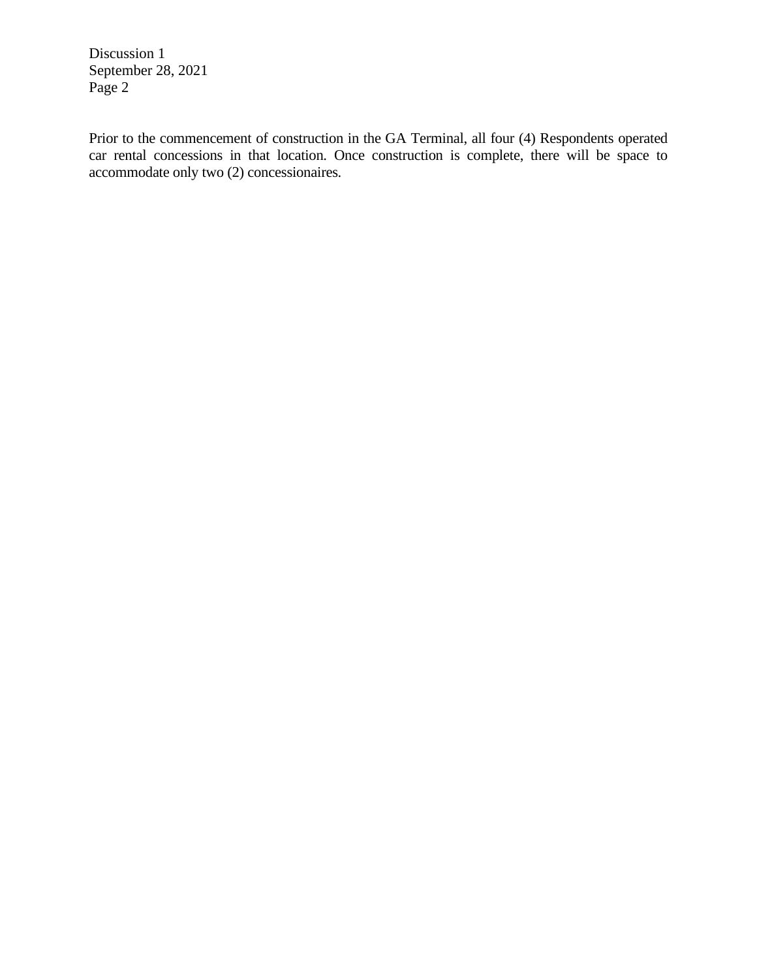Discussion 1 September 28, 2021 Page 2

Prior to the commencement of construction in the GA Terminal, all four (4) Respondents operated car rental concessions in that location. Once construction is complete, there will be space to accommodate only two (2) concessionaires.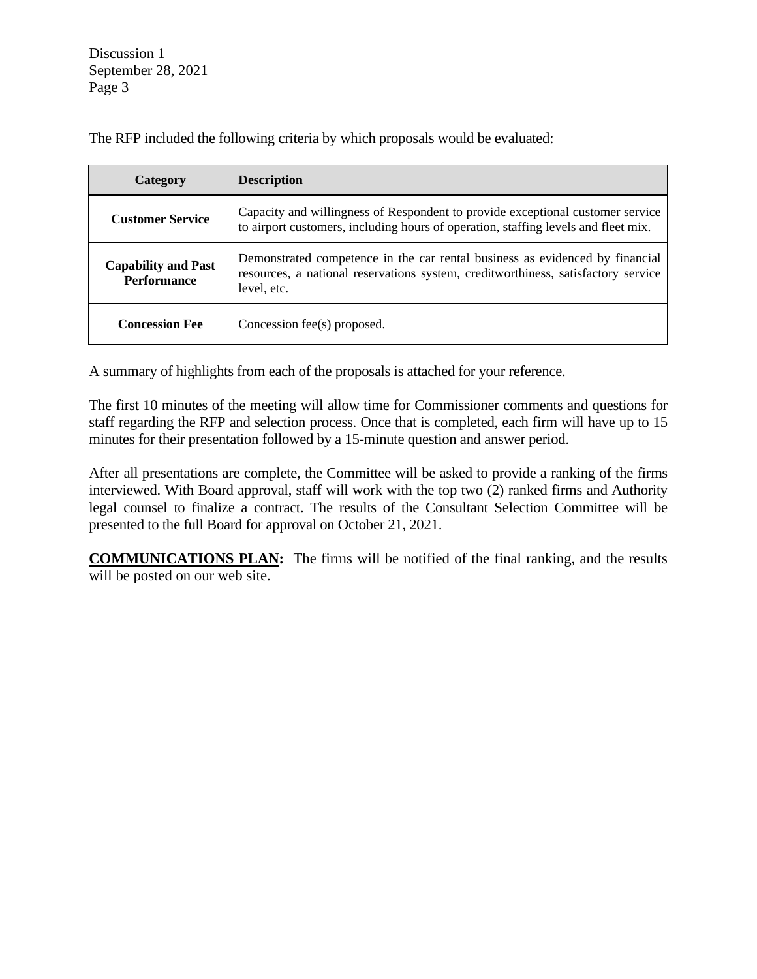Discussion 1 September 28, 2021 Page 3

| Category                                         | <b>Description</b>                                                                                                                                                               |  |
|--------------------------------------------------|----------------------------------------------------------------------------------------------------------------------------------------------------------------------------------|--|
| <b>Customer Service</b>                          | Capacity and willingness of Respondent to provide exceptional customer service<br>to airport customers, including hours of operation, staffing levels and fleet mix.             |  |
| <b>Capability and Past</b><br><b>Performance</b> | Demonstrated competence in the car rental business as evidenced by financial<br>resources, a national reservations system, creditworthiness, satisfactory service<br>level, etc. |  |
| <b>Concession Fee</b>                            | Concession fee(s) proposed.                                                                                                                                                      |  |

The RFP included the following criteria by which proposals would be evaluated:

A summary of highlights from each of the proposals is attached for your reference.

The first 10 minutes of the meeting will allow time for Commissioner comments and questions for staff regarding the RFP and selection process. Once that is completed, each firm will have up to 15 minutes for their presentation followed by a 15-minute question and answer period.

After all presentations are complete, the Committee will be asked to provide a ranking of the firms interviewed. With Board approval, staff will work with the top two (2) ranked firms and Authority legal counsel to finalize a contract. The results of the Consultant Selection Committee will be presented to the full Board for approval on October 21, 2021.

**COMMUNICATIONS PLAN:** The firms will be notified of the final ranking, and the results will be posted on our web site.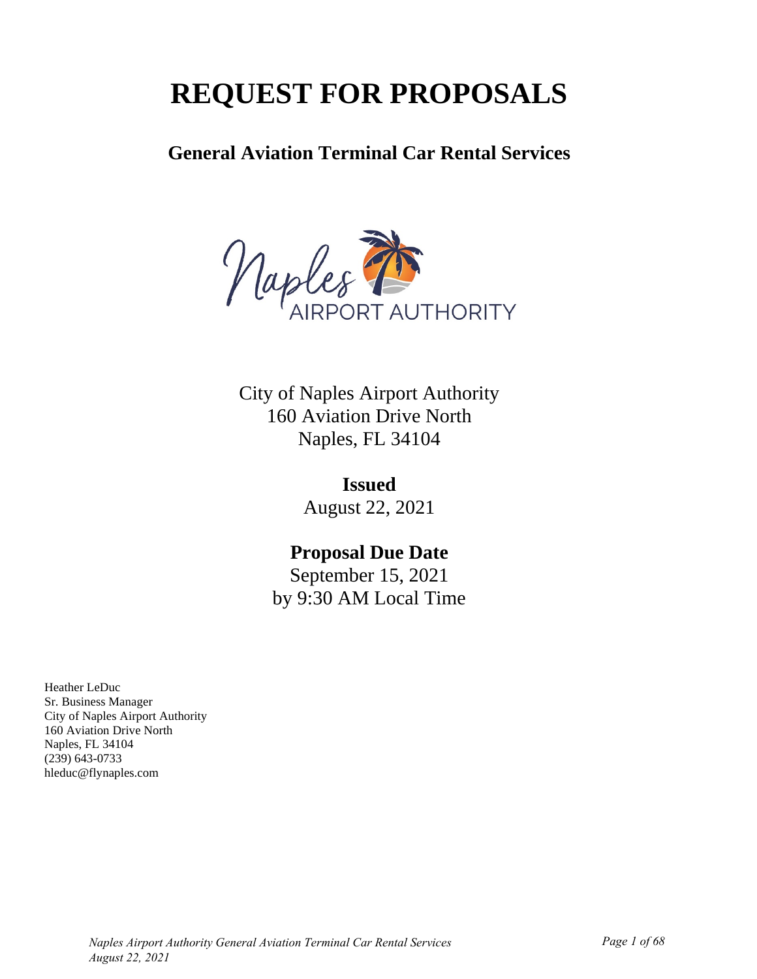# **REQUEST FOR PROPOSALS**

# **General Aviation Terminal Car Rental Services**



City of Naples Airport Authority 160 Aviation Drive North Naples, FL 34104

> **Issued** August 22, 2021

# **Proposal Due Date**

September 15, 2021 by 9:30 AM Local Time

Heather LeDuc Sr. Business Manager City of Naples Airport Authority 160 Aviation Drive North Naples, FL 34104 (239) 643-0733 hleduc@flynaples.com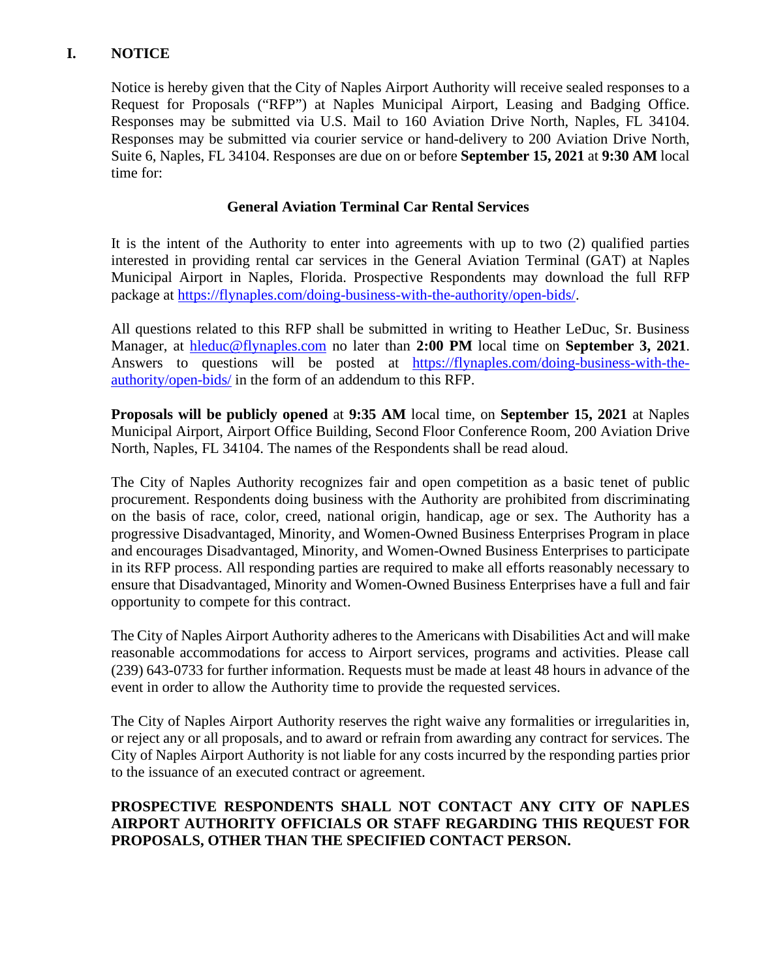# **I. NOTICE**

Notice is hereby given that the City of Naples Airport Authority will receive sealed responses to a Request for Proposals ("RFP") at Naples Municipal Airport, Leasing and Badging Office. Responses may be submitted via U.S. Mail to 160 Aviation Drive North, Naples, FL 34104. Responses may be submitted via courier service or hand-delivery to 200 Aviation Drive North, Suite 6, Naples, FL 34104. Responses are due on or before **September 15, 2021** at **9:30 AM** local time for:

### **General Aviation Terminal Car Rental Services**

It is the intent of the Authority to enter into agreements with up to two (2) qualified parties interested in providing rental car services in the General Aviation Terminal (GAT) at Naples Municipal Airport in Naples, Florida. Prospective Respondents may download the full RFP package at [https://flynaples.com/doing-business-with-the-authority/open-bids/.](https://flynaples.com/doing-business-with-the-authority/open-bids/)

All questions related to this RFP shall be submitted in writing to Heather LeDuc, Sr. Business Manager, at [hleduc@flynaples.com](mailto:hleduc@flynaples.com) no later than **2:00 PM** local time on **September 3, 2021**. Answers to questions will be posted at [https://flynaples.com/doing-business-with-the](https://flynaples.com/doing-business-with-the-authority/open-bids/)[authority/open-bids/](https://flynaples.com/doing-business-with-the-authority/open-bids/) in the form of an addendum to this RFP.

**Proposals will be publicly opened** at **9:35 AM** local time, on **September 15, 2021** at Naples Municipal Airport, Airport Office Building, Second Floor Conference Room, 200 Aviation Drive North, Naples, FL 34104. The names of the Respondents shall be read aloud.

The City of Naples Authority recognizes fair and open competition as a basic tenet of public procurement. Respondents doing business with the Authority are prohibited from discriminating on the basis of race, color, creed, national origin, handicap, age or sex. The Authority has a progressive Disadvantaged, Minority, and Women-Owned Business Enterprises Program in place and encourages Disadvantaged, Minority, and Women-Owned Business Enterprises to participate in its RFP process. All responding parties are required to make all efforts reasonably necessary to ensure that Disadvantaged, Minority and Women-Owned Business Enterprises have a full and fair opportunity to compete for this contract.

The City of Naples Airport Authority adheres to the Americans with Disabilities Act and will make reasonable accommodations for access to Airport services, programs and activities. Please call (239) 643-0733 for further information. Requests must be made at least 48 hours in advance of the event in order to allow the Authority time to provide the requested services.

The City of Naples Airport Authority reserves the right waive any formalities or irregularities in, or reject any or all proposals, and to award or refrain from awarding any contract for services. The City of Naples Airport Authority is not liable for any costs incurred by the responding parties prior to the issuance of an executed contract or agreement.

### **PROSPECTIVE RESPONDENTS SHALL NOT CONTACT ANY CITY OF NAPLES AIRPORT AUTHORITY OFFICIALS OR STAFF REGARDING THIS REQUEST FOR PROPOSALS, OTHER THAN THE SPECIFIED CONTACT PERSON.**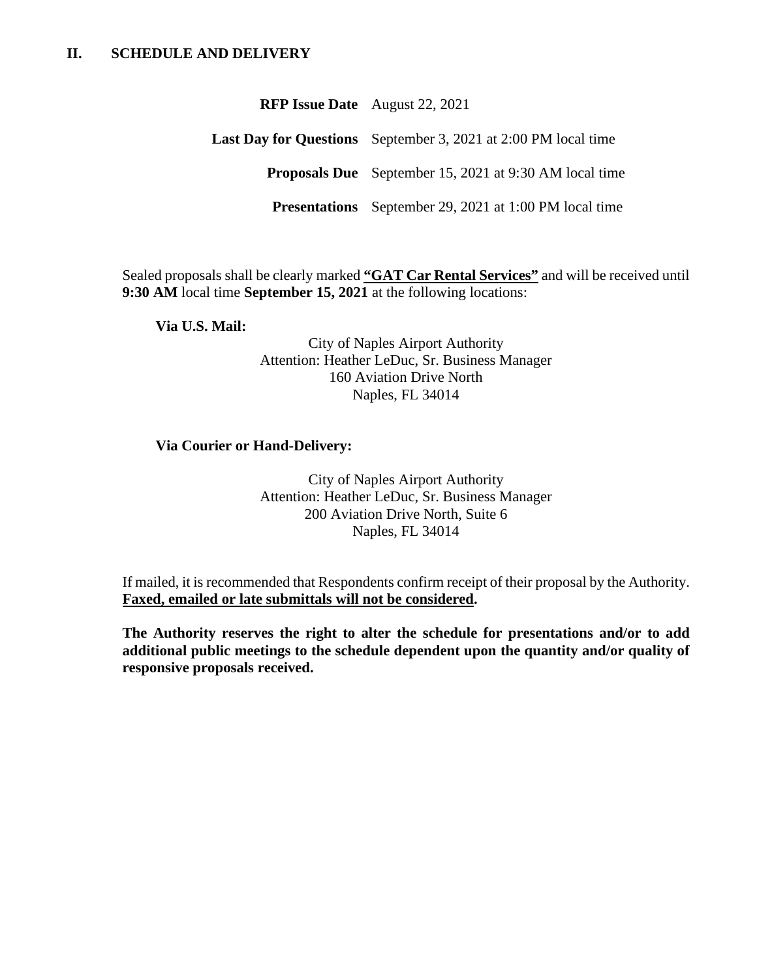| <b>RFP Issue Date</b> August 22, 2021                                 |  |
|-----------------------------------------------------------------------|--|
| <b>Last Day for Questions</b> September 3, 2021 at 2:00 PM local time |  |
| <b>Proposals Due</b> September 15, 2021 at 9:30 AM local time         |  |
| <b>Presentations</b> September 29, 2021 at 1:00 PM local time         |  |

Sealed proposals shall be clearly marked **"GAT Car Rental Services"** and will be received until **9:30 AM** local time **September 15, 2021** at the following locations:

**Via U.S. Mail:**

City of Naples Airport Authority Attention: Heather LeDuc, Sr. Business Manager 160 Aviation Drive North Naples, FL 34014

### **Via Courier or Hand-Delivery:**

City of Naples Airport Authority Attention: Heather LeDuc, Sr. Business Manager 200 Aviation Drive North, Suite 6 Naples, FL 34014

If mailed, it is recommended that Respondents confirm receipt of their proposal by the Authority. **Faxed, emailed or late submittals will not be considered.**

**The Authority reserves the right to alter the schedule for presentations and/or to add additional public meetings to the schedule dependent upon the quantity and/or quality of responsive proposals received.**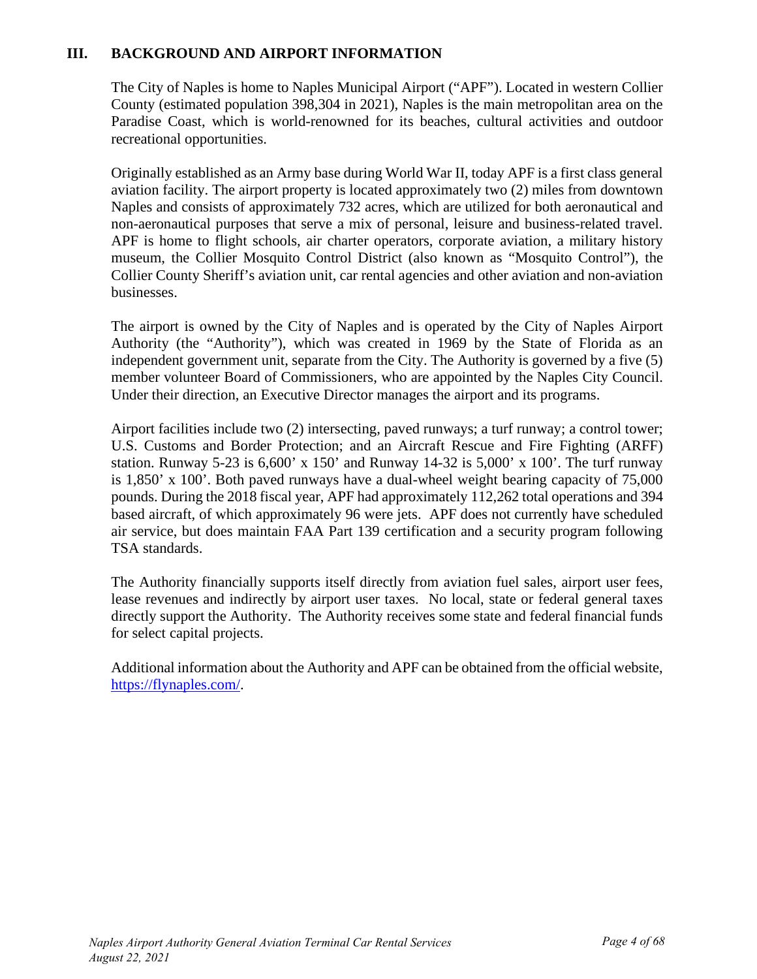### **III. BACKGROUND AND AIRPORT INFORMATION**

The City of Naples is home to Naples Municipal Airport ("APF"). Located in western Collier County (estimated population 398,304 in 2021), Naples is the main metropolitan area on the Paradise Coast, which is world-renowned for its beaches, cultural activities and outdoor recreational opportunities.

Originally established as an Army base during World War II, today APF is a first class general aviation facility. The airport property is located approximately two (2) miles from downtown Naples and consists of approximately 732 acres, which are utilized for both aeronautical and non-aeronautical purposes that serve a mix of personal, leisure and business-related travel. APF is home to flight schools, air charter operators, corporate aviation, a military history museum, the Collier Mosquito Control District (also known as "Mosquito Control"), the Collier County Sheriff's aviation unit, car rental agencies and other aviation and non-aviation businesses.

The airport is owned by the City of Naples and is operated by the City of Naples Airport Authority (the "Authority"), which was created in 1969 by the State of Florida as an independent government unit, separate from the City. The Authority is governed by a five (5) member volunteer Board of Commissioners, who are appointed by the Naples City Council. Under their direction, an Executive Director manages the airport and its programs.

Airport facilities include two (2) intersecting, paved runways; a turf runway; a control tower; U.S. Customs and Border Protection; and an Aircraft Rescue and Fire Fighting (ARFF) station. Runway 5-23 is  $6,600'$  x 150' and Runway 14-32 is  $5,000'$  x 100'. The turf runway is 1,850' x 100'. Both paved runways have a dual-wheel weight bearing capacity of 75,000 pounds. During the 2018 fiscal year, APF had approximately 112,262 total operations and 394 based aircraft, of which approximately 96 were jets. APF does not currently have scheduled air service, but does maintain FAA Part 139 certification and a security program following TSA standards.

The Authority financially supports itself directly from aviation fuel sales, airport user fees, lease revenues and indirectly by airport user taxes. No local, state or federal general taxes directly support the Authority. The Authority receives some state and federal financial funds for select capital projects.

Additional information about the Authority and APF can be obtained from the official website, [https://flynaples.com/.](https://flynaples.com/)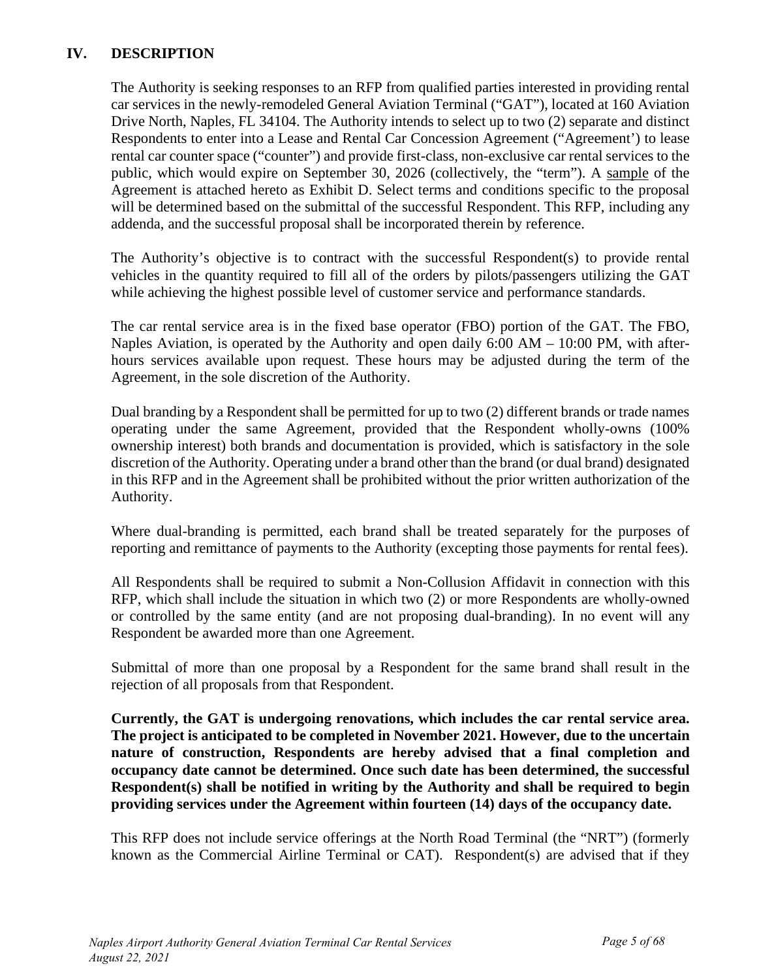# **IV. DESCRIPTION**

The Authority is seeking responses to an RFP from qualified parties interested in providing rental car services in the newly-remodeled General Aviation Terminal ("GAT"), located at 160 Aviation Drive North, Naples, FL 34104. The Authority intends to select up to two (2) separate and distinct Respondents to enter into a Lease and Rental Car Concession Agreement ("Agreement') to lease rental car counter space ("counter") and provide first-class, non-exclusive car rental services to the public, which would expire on September 30, 2026 (collectively, the "term"). A sample of the Agreement is attached hereto as Exhibit D. Select terms and conditions specific to the proposal will be determined based on the submittal of the successful Respondent. This RFP, including any addenda, and the successful proposal shall be incorporated therein by reference.

The Authority's objective is to contract with the successful Respondent(s) to provide rental vehicles in the quantity required to fill all of the orders by pilots/passengers utilizing the GAT while achieving the highest possible level of customer service and performance standards.

The car rental service area is in the fixed base operator (FBO) portion of the GAT. The FBO, Naples Aviation, is operated by the Authority and open daily  $6:00$  AM  $-$  10:00 PM, with afterhours services available upon request. These hours may be adjusted during the term of the Agreement, in the sole discretion of the Authority.

Dual branding by a Respondent shall be permitted for up to two (2) different brands or trade names operating under the same Agreement, provided that the Respondent wholly-owns (100% ownership interest) both brands and documentation is provided, which is satisfactory in the sole discretion of the Authority. Operating under a brand other than the brand (or dual brand) designated in this RFP and in the Agreement shall be prohibited without the prior written authorization of the Authority.

Where dual-branding is permitted, each brand shall be treated separately for the purposes of reporting and remittance of payments to the Authority (excepting those payments for rental fees).

All Respondents shall be required to submit a Non-Collusion Affidavit in connection with this RFP, which shall include the situation in which two (2) or more Respondents are wholly-owned or controlled by the same entity (and are not proposing dual-branding). In no event will any Respondent be awarded more than one Agreement.

Submittal of more than one proposal by a Respondent for the same brand shall result in the rejection of all proposals from that Respondent.

**Currently, the GAT is undergoing renovations, which includes the car rental service area. The project is anticipated to be completed in November 2021. However, due to the uncertain nature of construction, Respondents are hereby advised that a final completion and occupancy date cannot be determined. Once such date has been determined, the successful Respondent(s) shall be notified in writing by the Authority and shall be required to begin providing services under the Agreement within fourteen (14) days of the occupancy date.** 

This RFP does not include service offerings at the North Road Terminal (the "NRT") (formerly known as the Commercial Airline Terminal or CAT). Respondent(s) are advised that if they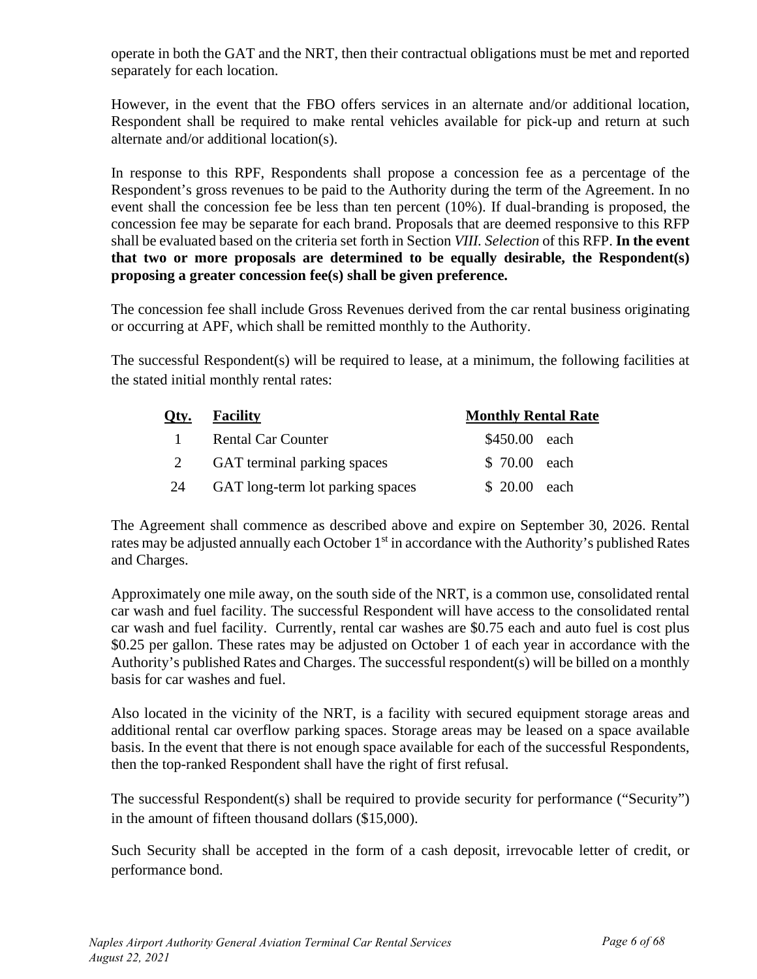operate in both the GAT and the NRT, then their contractual obligations must be met and reported separately for each location.

However, in the event that the FBO offers services in an alternate and/or additional location, Respondent shall be required to make rental vehicles available for pick-up and return at such alternate and/or additional location(s).

In response to this RPF, Respondents shall propose a concession fee as a percentage of the Respondent's gross revenues to be paid to the Authority during the term of the Agreement. In no event shall the concession fee be less than ten percent (10%). If dual-branding is proposed, the concession fee may be separate for each brand. Proposals that are deemed responsive to this RFP shall be evaluated based on the criteria set forth in Section *VIII. Selection* of this RFP. **In the event that two or more proposals are determined to be equally desirable, the Respondent(s) proposing a greater concession fee(s) shall be given preference.**

The concession fee shall include Gross Revenues derived from the car rental business originating or occurring at APF, which shall be remitted monthly to the Authority.

The successful Respondent(s) will be required to lease, at a minimum, the following facilities at the stated initial monthly rental rates:

| Oty.         | <b>Facility</b>                  | <b>Monthly Rental Rate</b> |  |  |
|--------------|----------------------------------|----------------------------|--|--|
| $\mathbf{1}$ | <b>Rental Car Counter</b>        | \$450.00 each              |  |  |
|              | GAT terminal parking spaces      | \$ 70.00 each              |  |  |
| 24           | GAT long-term lot parking spaces | \$ 20.00 each              |  |  |

The Agreement shall commence as described above and expire on September 30, 2026. Rental rates may be adjusted annually each October 1<sup>st</sup> in accordance with the Authority's published Rates and Charges.

Approximately one mile away, on the south side of the NRT, is a common use, consolidated rental car wash and fuel facility. The successful Respondent will have access to the consolidated rental car wash and fuel facility. Currently, rental car washes are \$0.75 each and auto fuel is cost plus \$0.25 per gallon. These rates may be adjusted on October 1 of each year in accordance with the Authority's published Rates and Charges. The successful respondent(s) will be billed on a monthly basis for car washes and fuel.

Also located in the vicinity of the NRT, is a facility with secured equipment storage areas and additional rental car overflow parking spaces. Storage areas may be leased on a space available basis. In the event that there is not enough space available for each of the successful Respondents, then the top-ranked Respondent shall have the right of first refusal.

The successful Respondent(s) shall be required to provide security for performance ("Security") in the amount of fifteen thousand dollars (\$15,000).

Such Security shall be accepted in the form of a cash deposit, irrevocable letter of credit, or performance bond.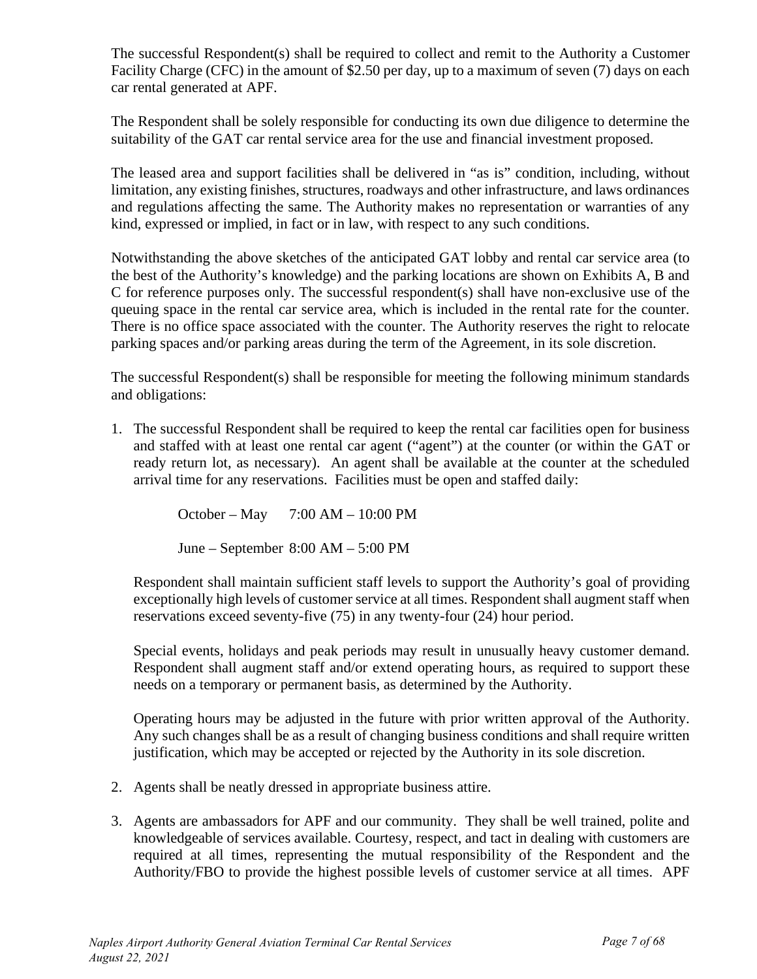The successful Respondent(s) shall be required to collect and remit to the Authority a Customer Facility Charge (CFC) in the amount of \$2.50 per day, up to a maximum of seven (7) days on each car rental generated at APF.

The Respondent shall be solely responsible for conducting its own due diligence to determine the suitability of the GAT car rental service area for the use and financial investment proposed.

The leased area and support facilities shall be delivered in "as is" condition, including, without limitation, any existing finishes, structures, roadways and other infrastructure, and laws ordinances and regulations affecting the same. The Authority makes no representation or warranties of any kind, expressed or implied, in fact or in law, with respect to any such conditions.

Notwithstanding the above sketches of the anticipated GAT lobby and rental car service area (to the best of the Authority's knowledge) and the parking locations are shown on Exhibits A, B and C for reference purposes only. The successful respondent(s) shall have non-exclusive use of the queuing space in the rental car service area, which is included in the rental rate for the counter. There is no office space associated with the counter. The Authority reserves the right to relocate parking spaces and/or parking areas during the term of the Agreement, in its sole discretion.

The successful Respondent(s) shall be responsible for meeting the following minimum standards and obligations:

1. The successful Respondent shall be required to keep the rental car facilities open for business and staffed with at least one rental car agent ("agent") at the counter (or within the GAT or ready return lot, as necessary). An agent shall be available at the counter at the scheduled arrival time for any reservations. Facilities must be open and staffed daily:

October – May 7:00 AM – 10:00 PM

June – September 8:00 AM – 5:00 PM

Respondent shall maintain sufficient staff levels to support the Authority's goal of providing exceptionally high levels of customer service at all times. Respondent shall augment staff when reservations exceed seventy-five (75) in any twenty-four (24) hour period.

Special events, holidays and peak periods may result in unusually heavy customer demand. Respondent shall augment staff and/or extend operating hours, as required to support these needs on a temporary or permanent basis, as determined by the Authority.

Operating hours may be adjusted in the future with prior written approval of the Authority. Any such changes shall be as a result of changing business conditions and shall require written justification, which may be accepted or rejected by the Authority in its sole discretion.

- 2. Agents shall be neatly dressed in appropriate business attire.
- 3. Agents are ambassadors for APF and our community. They shall be well trained, polite and knowledgeable of services available. Courtesy, respect, and tact in dealing with customers are required at all times, representing the mutual responsibility of the Respondent and the Authority/FBO to provide the highest possible levels of customer service at all times. APF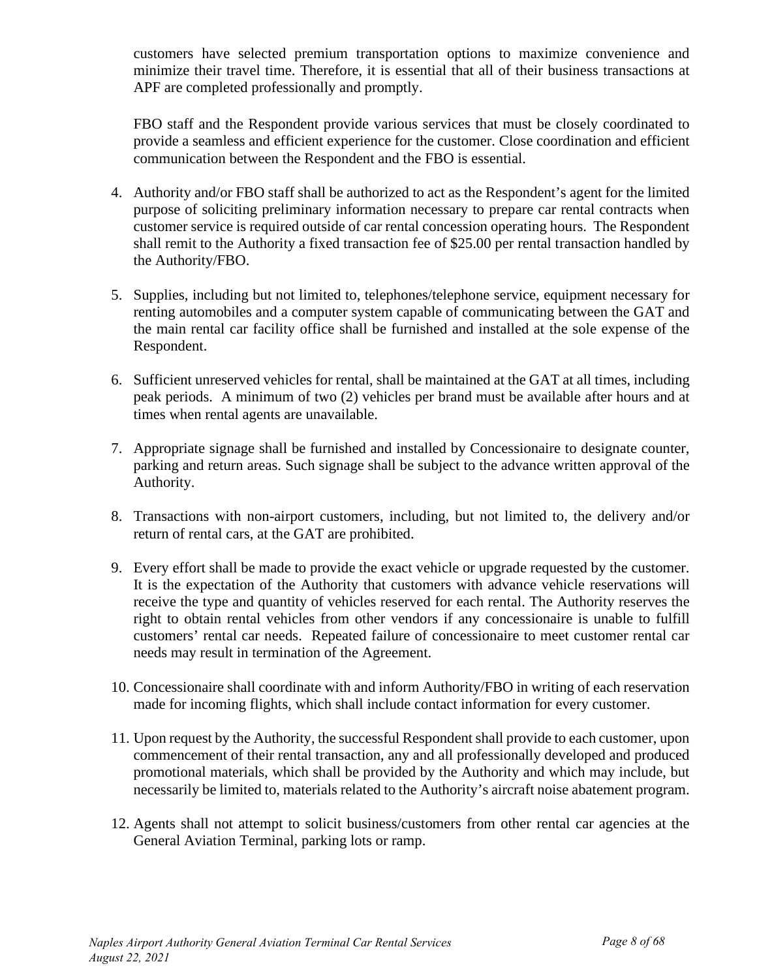customers have selected premium transportation options to maximize convenience and minimize their travel time. Therefore, it is essential that all of their business transactions at APF are completed professionally and promptly.

FBO staff and the Respondent provide various services that must be closely coordinated to provide a seamless and efficient experience for the customer. Close coordination and efficient communication between the Respondent and the FBO is essential.

- 4. Authority and/or FBO staff shall be authorized to act as the Respondent's agent for the limited purpose of soliciting preliminary information necessary to prepare car rental contracts when customer service is required outside of car rental concession operating hours. The Respondent shall remit to the Authority a fixed transaction fee of \$25.00 per rental transaction handled by the Authority/FBO.
- 5. Supplies, including but not limited to, telephones/telephone service, equipment necessary for renting automobiles and a computer system capable of communicating between the GAT and the main rental car facility office shall be furnished and installed at the sole expense of the Respondent.
- 6. Sufficient unreserved vehicles for rental, shall be maintained at the GAT at all times, including peak periods. A minimum of two (2) vehicles per brand must be available after hours and at times when rental agents are unavailable.
- 7. Appropriate signage shall be furnished and installed by Concessionaire to designate counter, parking and return areas. Such signage shall be subject to the advance written approval of the Authority.
- 8. Transactions with non-airport customers, including, but not limited to, the delivery and/or return of rental cars, at the GAT are prohibited.
- 9. Every effort shall be made to provide the exact vehicle or upgrade requested by the customer. It is the expectation of the Authority that customers with advance vehicle reservations will receive the type and quantity of vehicles reserved for each rental. The Authority reserves the right to obtain rental vehicles from other vendors if any concessionaire is unable to fulfill customers' rental car needs. Repeated failure of concessionaire to meet customer rental car needs may result in termination of the Agreement.
- 10. Concessionaire shall coordinate with and inform Authority/FBO in writing of each reservation made for incoming flights, which shall include contact information for every customer.
- 11. Upon request by the Authority, the successful Respondentshall provide to each customer, upon commencement of their rental transaction, any and all professionally developed and produced promotional materials, which shall be provided by the Authority and which may include, but necessarily be limited to, materials related to the Authority's aircraft noise abatement program.
- 12. Agents shall not attempt to solicit business/customers from other rental car agencies at the General Aviation Terminal, parking lots or ramp.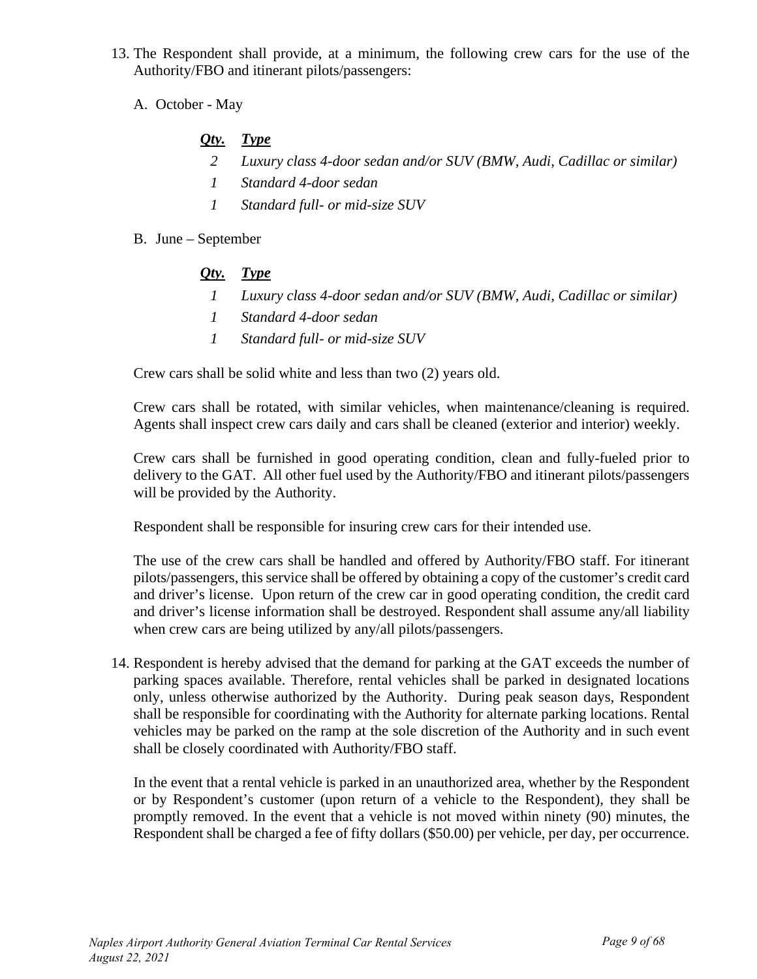- 13. The Respondent shall provide, at a minimum, the following crew cars for the use of the Authority/FBO and itinerant pilots/passengers:
	- A. October May

# *Qty. Type*

- *2 Luxury class 4-door sedan and/or SUV (BMW, Audi, Cadillac or similar)*
- *1 Standard 4-door sedan*
- *1 Standard full- or mid-size SUV*
- B. June September

### *Qty. Type*

- *1 Luxury class 4-door sedan and/or SUV (BMW, Audi, Cadillac or similar)*
- *1 Standard 4-door sedan*
- *1 Standard full- or mid-size SUV*

Crew cars shall be solid white and less than two (2) years old.

Crew cars shall be rotated, with similar vehicles, when maintenance/cleaning is required. Agents shall inspect crew cars daily and cars shall be cleaned (exterior and interior) weekly.

Crew cars shall be furnished in good operating condition, clean and fully-fueled prior to delivery to the GAT. All other fuel used by the Authority/FBO and itinerant pilots/passengers will be provided by the Authority.

Respondent shall be responsible for insuring crew cars for their intended use.

The use of the crew cars shall be handled and offered by Authority/FBO staff. For itinerant pilots/passengers, this service shall be offered by obtaining a copy of the customer's credit card and driver's license. Upon return of the crew car in good operating condition, the credit card and driver's license information shall be destroyed. Respondent shall assume any/all liability when crew cars are being utilized by any/all pilots/passengers.

14. Respondent is hereby advised that the demand for parking at the GAT exceeds the number of parking spaces available. Therefore, rental vehicles shall be parked in designated locations only, unless otherwise authorized by the Authority. During peak season days, Respondent shall be responsible for coordinating with the Authority for alternate parking locations. Rental vehicles may be parked on the ramp at the sole discretion of the Authority and in such event shall be closely coordinated with Authority/FBO staff.

In the event that a rental vehicle is parked in an unauthorized area, whether by the Respondent or by Respondent's customer (upon return of a vehicle to the Respondent), they shall be promptly removed. In the event that a vehicle is not moved within ninety (90) minutes, the Respondent shall be charged a fee of fifty dollars (\$50.00) per vehicle, per day, per occurrence.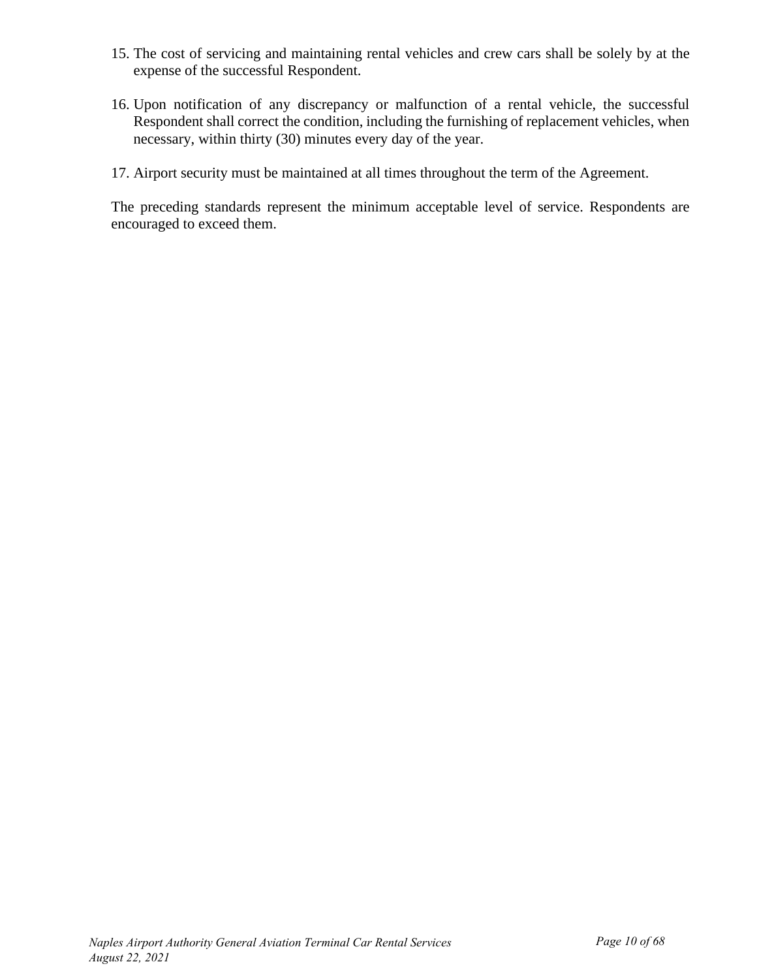- 15. The cost of servicing and maintaining rental vehicles and crew cars shall be solely by at the expense of the successful Respondent.
- 16. Upon notification of any discrepancy or malfunction of a rental vehicle, the successful Respondent shall correct the condition, including the furnishing of replacement vehicles, when necessary, within thirty (30) minutes every day of the year.
- 17. Airport security must be maintained at all times throughout the term of the Agreement.

The preceding standards represent the minimum acceptable level of service. Respondents are encouraged to exceed them.